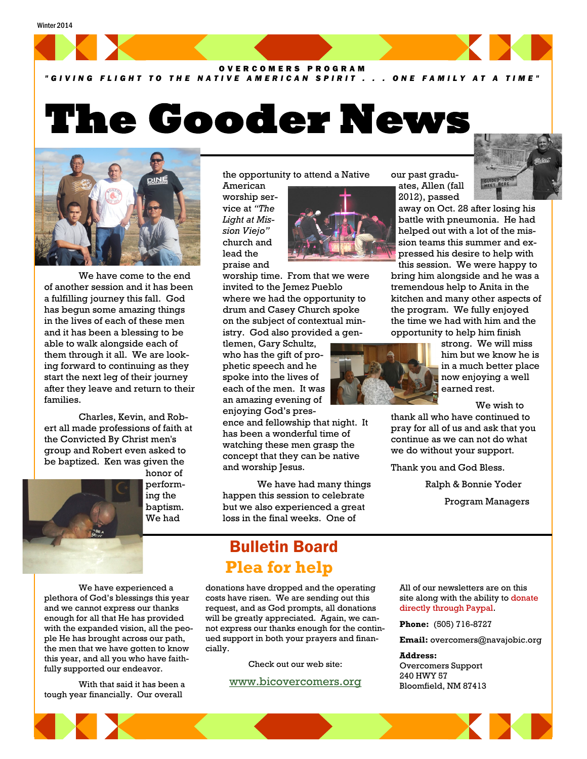#### Winter 2014



#### *" G I V I N G F L I G H T T O T H E N A T I V E A M E R I C A N S P I R I T . . . O N E F A M I L Y A T A T I M E "*

# **The Gooder News**



We have come to the end of another session and it has been a fulfilling journey this fall. God has begun some amazing things in the lives of each of these men and it has been a blessing to be able to walk alongside each of them through it all. We are looking forward to continuing as they start the next leg of their journey after they leave and return to their families.

Charles, Kevin, and Robert all made professions of faith at the Convicted By Christ men's group and Robert even asked to be baptized. Ken was given the honor of

> performing the baptism. We had

the opportunity to attend a Native American

worship service at *"The Light at Mission Viejo"* church and lead the praise and

worship time. From that we were invited to the Jemez Pueblo where we had the opportunity to drum and Casey Church spoke on the subject of contextual ministry. God also provided a gen-

tlemen, Gary Schultz, who has the gift of prophetic speech and he spoke into the lives of each of the men. It was an amazing evening of enjoying God's pres-

ence and fellowship that night. It has been a wonderful time of watching these men grasp the concept that they can be native and worship Jesus.

We have had many things happen this session to celebrate but we also experienced a great loss in the final weeks. One of

## Bulletin Board **Plea for help**

donations have dropped and the operating costs have risen. We are sending out this request, and as God prompts, all donations will be greatly appreciated. Again, we cannot express our thanks enough for the continued support in both your prayers and financially.

Check out our web site:

#### [www.bicovercomers.org](http://bicovercomers.org/)

our past graduates, Allen (fall 2012), passed

> away on Oct. 28 after losing his battle with pneumonia. He had helped out with a lot of the mission teams this summer and expressed his desire to help with this session. We were happy to

bring him alongside and he was a tremendous help to Anita in the kitchen and many other aspects of the program. We fully enjoyed the time we had with him and the opportunity to help him finish



strong. We will miss him but we know he is in a much better place now enjoying a well earned rest.

We wish to

thank all who have continued to pray for all of us and ask that you continue as we can not do what we do without your support.

Thank you and God Bless.

Ralph & Bonnie Yoder Program Managers

All of our newsletters are on this site along with the ability to donate directly through Paypal.

**Phone:** (505) 716-8727

**Email:** overcomers@navajobic.org

**Address:**  Overcomers Support 240 HWY 57 Bloomfield, NM 87413

We have experienced a plethora of God's blessings this year and we cannot express our thanks enough for all that He has provided with the expanded vision, all the people He has brought across our path, the men that we have gotten to know this year, and all you who have faithfully supported our endeavor.

With that said it has been a tough year financially. Our overall